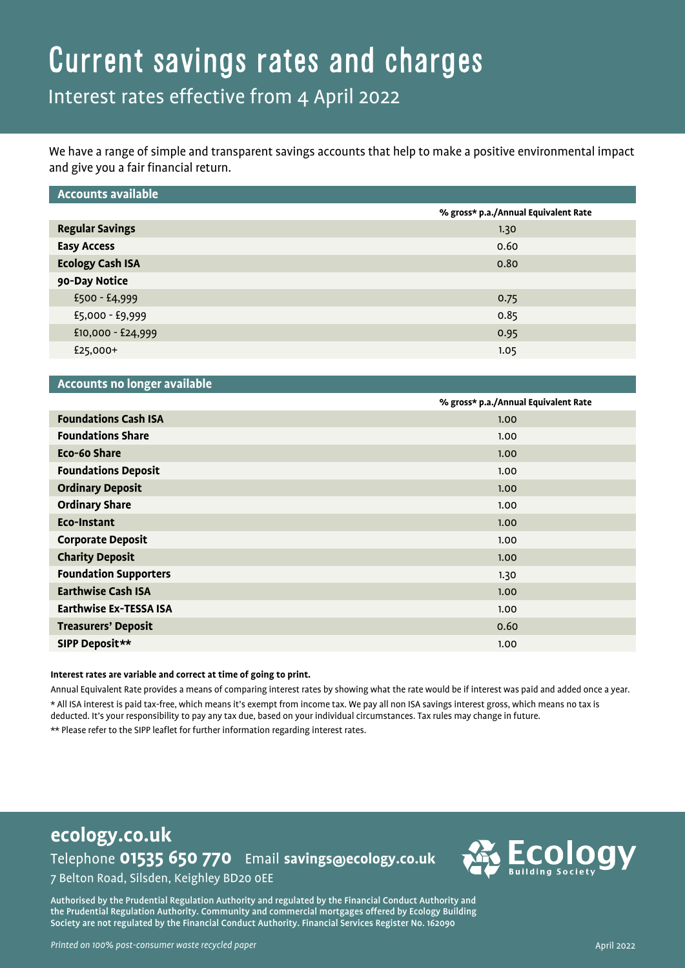## Current savings rates and charges

## Interest rates effective from 4 April 2022

We have a range of simple and transparent savings accounts that help to make a positive environmental impact and give you a fair financial return.

| <b>Accounts available</b> |                                      |
|---------------------------|--------------------------------------|
|                           | % gross* p.a./Annual Equivalent Rate |
| <b>Regular Savings</b>    | 1.30                                 |
| <b>Easy Access</b>        | 0.60                                 |
| <b>Ecology Cash ISA</b>   | 0.80                                 |
| 90-Day Notice             |                                      |
| $£500 - £4,999$           | 0.75                                 |
| £5,000 - £9,999           | 0.85                                 |
| £10,000 - £24,999         | 0.95                                 |
| £25,000+                  | 1.05                                 |
|                           |                                      |

#### **Accounts no longer available**

|                               | % gross* p.a./Annual Equivalent Rate |
|-------------------------------|--------------------------------------|
| <b>Foundations Cash ISA</b>   | 1.00                                 |
| <b>Foundations Share</b>      | 1.00                                 |
| Eco-60 Share                  | 1.00                                 |
| <b>Foundations Deposit</b>    | 1.00                                 |
| <b>Ordinary Deposit</b>       | 1.00                                 |
| <b>Ordinary Share</b>         | 1.00                                 |
| Eco-Instant                   | 1.00                                 |
| <b>Corporate Deposit</b>      | 1.00                                 |
| <b>Charity Deposit</b>        | 1.00                                 |
| <b>Foundation Supporters</b>  | 1.30                                 |
| <b>Earthwise Cash ISA</b>     | 1.00                                 |
| <b>Earthwise Ex-TESSA ISA</b> | 1.00                                 |
| <b>Treasurers' Deposit</b>    | 0.60                                 |
| SIPP Deposit**                | 1.00                                 |
|                               |                                      |

#### **Interest rates are variable and correct at time of going to print.**

Annual Equivalent Rate provides a means of comparing interest rates by showing what the rate would be if interest was paid and added once a year. \* All ISA interest is paid tax-free, which means it's exempt from income tax. We pay all non ISA savings interest gross, which means no tax is deducted. It's your responsibility to pay any tax due, based on your individual circumstances. Tax rules may change in future. \*\* Please refer to the SIPP leaflet for further information regarding interest rates.

#### **ecology.co.uk** Telephone **01535 650 770** Email **savings@ecology.co.uk** 7 Belton Road, Silsden, Keighley BD20 0EE



Authorised by the Prudential Regulation Authority and regulated by the Financial Conduct Authority and the Prudential Regulation Authority. Community and commercial mortgages offered by Ecology Building Society are not regulated by the Financial Conduct Authority. Financial Services Register No. 162090